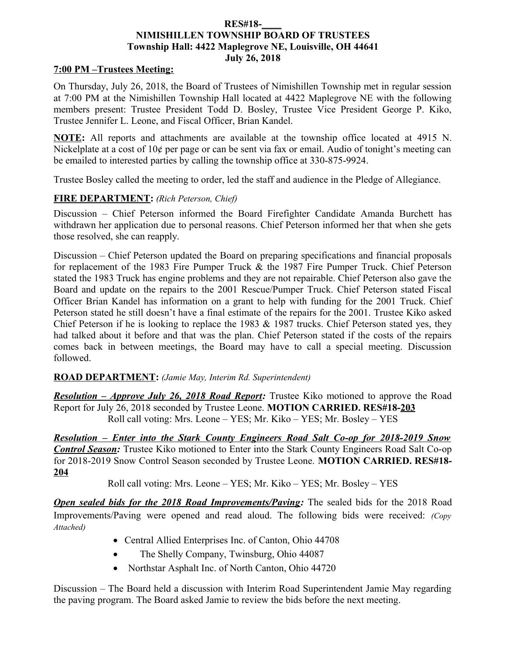#### **RES#18-\_\_\_\_ NIMISHILLEN TOWNSHIP BOARD OF TRUSTEES Township Hall: 4422 Maplegrove NE, Louisville, OH 44641 July 26, 2018**

### **7:00 PM –Trustees Meeting:**

On Thursday, July 26, 2018, the Board of Trustees of Nimishillen Township met in regular session at 7:00 PM at the Nimishillen Township Hall located at 4422 Maplegrove NE with the following members present: Trustee President Todd D. Bosley, Trustee Vice President George P. Kiko, Trustee Jennifer L. Leone, and Fiscal Officer, Brian Kandel.

**NOTE:** All reports and attachments are available at the township office located at 4915 N. Nickelplate at a cost of 10¢ per page or can be sent via fax or email. Audio of tonight's meeting can be emailed to interested parties by calling the township office at 330-875-9924.

Trustee Bosley called the meeting to order, led the staff and audience in the Pledge of Allegiance.

### **FIRE DEPARTMENT:** *(Rich Peterson, Chief)*

Discussion – Chief Peterson informed the Board Firefighter Candidate Amanda Burchett has withdrawn her application due to personal reasons. Chief Peterson informed her that when she gets those resolved, she can reapply.

Discussion – Chief Peterson updated the Board on preparing specifications and financial proposals for replacement of the 1983 Fire Pumper Truck & the 1987 Fire Pumper Truck. Chief Peterson stated the 1983 Truck has engine problems and they are not repairable. Chief Peterson also gave the Board and update on the repairs to the 2001 Rescue/Pumper Truck. Chief Peterson stated Fiscal Officer Brian Kandel has information on a grant to help with funding for the 2001 Truck. Chief Peterson stated he still doesn't have a final estimate of the repairs for the 2001. Trustee Kiko asked Chief Peterson if he is looking to replace the 1983  $&$  1987 trucks. Chief Peterson stated yes, they had talked about it before and that was the plan. Chief Peterson stated if the costs of the repairs comes back in between meetings, the Board may have to call a special meeting. Discussion followed.

### **ROAD DEPARTMENT:** *(Jamie May, Interim Rd. Superintendent)*

*Resolution – Approve July 26, 2018 Road Report:* Trustee Kiko motioned to approve the Road Report for July 26, 2018 seconded by Trustee Leone. **MOTION CARRIED. RES#18-203** Roll call voting: Mrs. Leone – YES; Mr. Kiko – YES; Mr. Bosley – YES

*Resolution – Enter into the Stark County Engineers Road Salt Co-op for 2018-2019 Snow* **Control Season:** Trustee Kiko motioned to Enter into the Stark County Engineers Road Salt Co-op for 2018-2019 Snow Control Season seconded by Trustee Leone. **MOTION CARRIED. RES#18- 204**

Roll call voting: Mrs. Leone – YES; Mr. Kiko – YES; Mr. Bosley – YES

*Open sealed bids for the 2018 Road Improvements/Paving:* The sealed bids for the 2018 Road Improvements/Paving were opened and read aloud. The following bids were received: *(Copy Attached)*

- Central Allied Enterprises Inc. of Canton, Ohio 44708
- The Shelly Company, Twinsburg, Ohio 44087
- Northstar Asphalt Inc. of North Canton, Ohio 44720

Discussion – The Board held a discussion with Interim Road Superintendent Jamie May regarding the paving program. The Board asked Jamie to review the bids before the next meeting.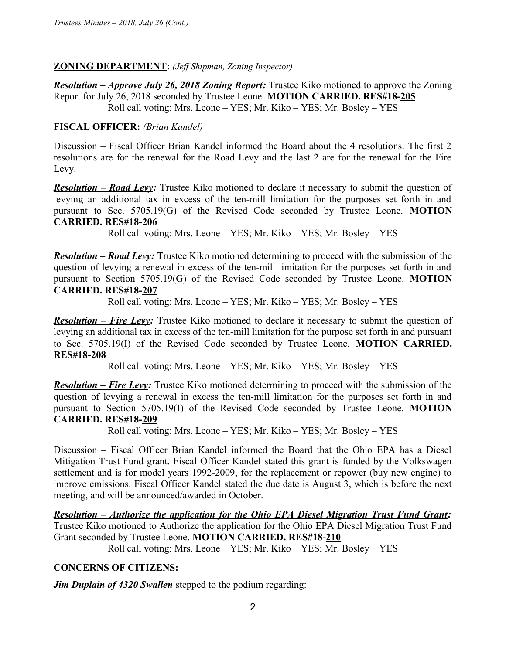## **ZONING DEPARTMENT:** *(Jeff Shipman, Zoning Inspector)*

*Resolution – Approve July 26, 2018 Zoning Report:* Trustee Kiko motioned to approve the Zoning Report for July 26, 2018 seconded by Trustee Leone. **MOTION CARRIED. RES#18-205** Roll call voting: Mrs. Leone – YES; Mr. Kiko – YES; Mr. Bosley – YES

## **FISCAL OFFICER:** *(Brian Kandel)*

Discussion – Fiscal Officer Brian Kandel informed the Board about the 4 resolutions. The first 2 resolutions are for the renewal for the Road Levy and the last 2 are for the renewal for the Fire Levy.

*Resolution – Road Levy:* Trustee Kiko motioned to declare it necessary to submit the question of levying an additional tax in excess of the ten-mill limitation for the purposes set forth in and pursuant to Sec. 5705.19(G) of the Revised Code seconded by Trustee Leone. **MOTION CARRIED. RES#18-206**

Roll call voting: Mrs. Leone – YES; Mr. Kiko – YES; Mr. Bosley – YES

*Resolution – Road Levy:* Trustee Kiko motioned determining to proceed with the submission of the question of levying a renewal in excess of the ten-mill limitation for the purposes set forth in and pursuant to Section 5705.19(G) of the Revised Code seconded by Trustee Leone. **MOTION CARRIED. RES#18-207**

Roll call voting: Mrs. Leone – YES; Mr. Kiko – YES; Mr. Bosley – YES

**Resolution – Fire Levy:** Trustee Kiko motioned to declare it necessary to submit the question of levying an additional tax in excess of the ten-mill limitation for the purpose set forth in and pursuant to Sec. 5705.19(I) of the Revised Code seconded by Trustee Leone. **MOTION CARRIED. RES#18-208**

Roll call voting: Mrs. Leone – YES; Mr. Kiko – YES; Mr. Bosley – YES

*Resolution – Fire Levy:* Trustee Kiko motioned determining to proceed with the submission of the question of levying a renewal in excess the ten-mill limitation for the purposes set forth in and pursuant to Section 5705.19(I) of the Revised Code seconded by Trustee Leone. **MOTION CARRIED. RES#18-209**

Roll call voting: Mrs. Leone – YES; Mr. Kiko – YES; Mr. Bosley – YES

Discussion – Fiscal Officer Brian Kandel informed the Board that the Ohio EPA has a Diesel Mitigation Trust Fund grant. Fiscal Officer Kandel stated this grant is funded by the Volkswagen settlement and is for model years 1992-2009, for the replacement or repower (buy new engine) to improve emissions. Fiscal Officer Kandel stated the due date is August 3, which is before the next meeting, and will be announced/awarded in October.

*Resolution – Authorize the application for the Ohio EPA Diesel Migration Trust Fund Grant:* Trustee Kiko motioned to Authorize the application for the Ohio EPA Diesel Migration Trust Fund Grant seconded by Trustee Leone. **MOTION CARRIED. RES#18-210**

Roll call voting: Mrs. Leone – YES; Mr. Kiko – YES; Mr. Bosley – YES

## **CONCERNS OF CITIZENS:**

*Jim Duplain of 4320 Swallen* stepped to the podium regarding: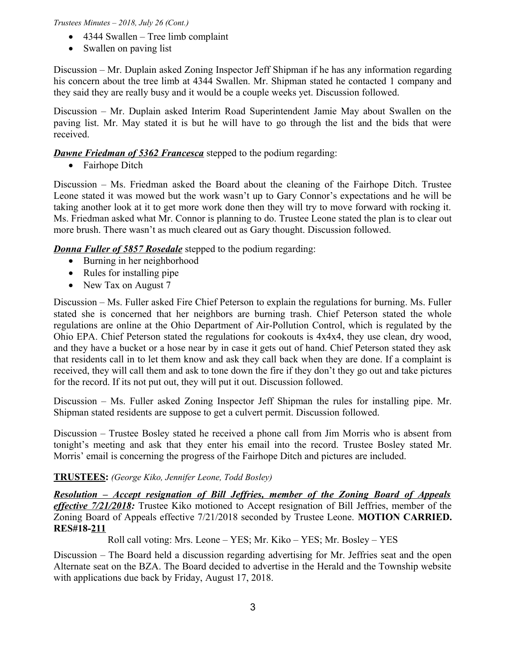#### *Trustees Minutes – 2018, July 26 (Cont.)*

- 4344 Swallen Tree limb complaint
- Swallen on paving list

Discussion – Mr. Duplain asked Zoning Inspector Jeff Shipman if he has any information regarding his concern about the tree limb at 4344 Swallen. Mr. Shipman stated he contacted 1 company and they said they are really busy and it would be a couple weeks yet. Discussion followed.

Discussion – Mr. Duplain asked Interim Road Superintendent Jamie May about Swallen on the paving list. Mr. May stated it is but he will have to go through the list and the bids that were received.

# *Dawne Friedman of 5362 Francesca* stepped to the podium regarding:

• Fairhope Ditch

Discussion – Ms. Friedman asked the Board about the cleaning of the Fairhope Ditch. Trustee Leone stated it was mowed but the work wasn't up to Gary Connor's expectations and he will be taking another look at it to get more work done then they will try to move forward with rocking it. Ms. Friedman asked what Mr. Connor is planning to do. Trustee Leone stated the plan is to clear out more brush. There wasn't as much cleared out as Gary thought. Discussion followed.

*Donna Fuller of 5857 Rosedale* stepped to the podium regarding:

- Burning in her neighborhood
- Rules for installing pipe
- New Tax on August 7

Discussion – Ms. Fuller asked Fire Chief Peterson to explain the regulations for burning. Ms. Fuller stated she is concerned that her neighbors are burning trash. Chief Peterson stated the whole regulations are online at the Ohio Department of Air-Pollution Control, which is regulated by the Ohio EPA. Chief Peterson stated the regulations for cookouts is 4x4x4, they use clean, dry wood, and they have a bucket or a hose near by in case it gets out of hand. Chief Peterson stated they ask that residents call in to let them know and ask they call back when they are done. If a complaint is received, they will call them and ask to tone down the fire if they don't they go out and take pictures for the record. If its not put out, they will put it out. Discussion followed.

Discussion – Ms. Fuller asked Zoning Inspector Jeff Shipman the rules for installing pipe. Mr. Shipman stated residents are suppose to get a culvert permit. Discussion followed.

Discussion – Trustee Bosley stated he received a phone call from Jim Morris who is absent from tonight's meeting and ask that they enter his email into the record. Trustee Bosley stated Mr. Morris' email is concerning the progress of the Fairhope Ditch and pictures are included.

# **TRUSTEES:** *(George Kiko, Jennifer Leone, Todd Bosley)*

*Resolution – Accept resignation of Bill Jeffries, member of the Zoning Board of Appeals effective 7/21/2018:* Trustee Kiko motioned to Accept resignation of Bill Jeffries, member of the Zoning Board of Appeals effective 7/21/2018 seconded by Trustee Leone. **MOTION CARRIED. RES#18-211**

Roll call voting: Mrs. Leone – YES; Mr. Kiko – YES; Mr. Bosley – YES

Discussion – The Board held a discussion regarding advertising for Mr. Jeffries seat and the open Alternate seat on the BZA. The Board decided to advertise in the Herald and the Township website with applications due back by Friday, August 17, 2018.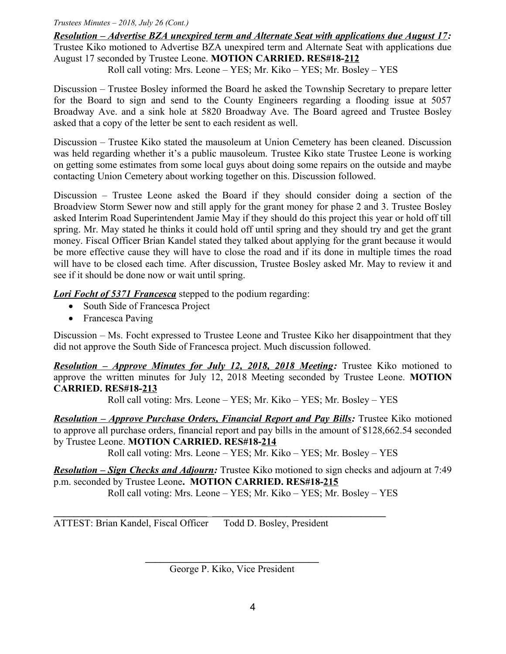#### *Trustees Minutes – 2018, July 26 (Cont.)*

*Resolution – Advertise BZA unexpired term and Alternate Seat with applications due August 17:* Trustee Kiko motioned to Advertise BZA unexpired term and Alternate Seat with applications due August 17 seconded by Trustee Leone. **MOTION CARRIED. RES#18-212**

Roll call voting: Mrs. Leone – YES; Mr. Kiko – YES; Mr. Bosley – YES

Discussion – Trustee Bosley informed the Board he asked the Township Secretary to prepare letter for the Board to sign and send to the County Engineers regarding a flooding issue at 5057 Broadway Ave. and a sink hole at 5820 Broadway Ave. The Board agreed and Trustee Bosley asked that a copy of the letter be sent to each resident as well.

Discussion – Trustee Kiko stated the mausoleum at Union Cemetery has been cleaned. Discussion was held regarding whether it's a public mausoleum. Trustee Kiko state Trustee Leone is working on getting some estimates from some local guys about doing some repairs on the outside and maybe contacting Union Cemetery about working together on this. Discussion followed.

Discussion – Trustee Leone asked the Board if they should consider doing a section of the Broadview Storm Sewer now and still apply for the grant money for phase 2 and 3. Trustee Bosley asked Interim Road Superintendent Jamie May if they should do this project this year or hold off till spring. Mr. May stated he thinks it could hold off until spring and they should try and get the grant money. Fiscal Officer Brian Kandel stated they talked about applying for the grant because it would be more effective cause they will have to close the road and if its done in multiple times the road will have to be closed each time. After discussion, Trustee Bosley asked Mr. May to review it and see if it should be done now or wait until spring.

*Lori Focht of 5371 Francesca* stepped to the podium regarding:

- South Side of Francesca Project
- Francesca Paving

Discussion – Ms. Focht expressed to Trustee Leone and Trustee Kiko her disappointment that they did not approve the South Side of Francesca project. Much discussion followed.

 *Resolution – Approve Minutes for July 12, 2018, 2018 Meeting:* Trustee Kiko motioned to approve the written minutes for July 12, 2018 Meeting seconded by Trustee Leone. **MOTION CARRIED. RES#18-213**

Roll call voting: Mrs. Leone – YES; Mr. Kiko – YES; Mr. Bosley – YES

*Resolution – Approve Purchase Orders, Financial Report and Pay Bills:* Trustee Kiko motioned to approve all purchase orders, financial report and pay bills in the amount of \$128,662.54 seconded by Trustee Leone. **MOTION CARRIED. RES#18-214**

Roll call voting: Mrs. Leone – YES; Mr. Kiko – YES; Mr. Bosley – YES

*Resolution – Sign Checks and Adjourn:* Trustee Kiko motioned to sign checks and adjourn at 7:49 p.m. seconded by Trustee Leone**. MOTION CARRIED. RES#18-215** Roll call voting: Mrs. Leone – YES; Mr. Kiko – YES; Mr. Bosley – YES

ATTEST: Brian Kandel, Fiscal Officer Todd D. Bosley, President

**\_\_\_\_\_\_\_\_\_\_\_\_\_\_\_\_\_\_\_\_\_\_\_\_\_\_\_\_\_\_\_\_\_\_\_** George P. Kiko, Vice President

**\_\_\_\_\_\_\_\_\_\_\_\_\_\_\_\_\_\_\_\_\_\_\_\_\_\_\_\_\_\_\_**\_**\_\_\_\_\_\_\_\_\_\_\_\_\_\_\_\_\_\_\_\_\_\_\_\_\_\_\_\_\_\_\_\_\_\_\_**